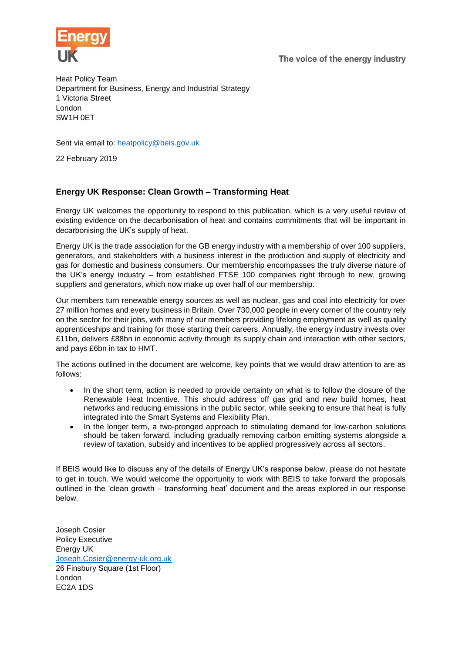The voice of the energy industry



Heat Policy Team Department for Business, Energy and Industrial Strategy 1 Victoria Street London SW1H 0ET

Sent via email to: [heatpolicy@beis.gov.uk](mailto:heatpolicy@beis.gov.uk)

22 February 2019

# **Energy UK Response: Clean Growth – Transforming Heat**

Energy UK welcomes the opportunity to respond to this publication, which is a very useful review of existing evidence on the decarbonisation of heat and contains commitments that will be important in decarbonising the UK's supply of heat.

Energy UK is the trade association for the GB energy industry with a membership of over 100 suppliers, generators, and stakeholders with a business interest in the production and supply of electricity and gas for domestic and business consumers. Our membership encompasses the truly diverse nature of the UK's energy industry – from established FTSE 100 companies right through to new, growing suppliers and generators, which now make up over half of our membership.

Our members turn renewable energy sources as well as nuclear, gas and coal into electricity for over 27 million homes and every business in Britain. Over 730,000 people in every corner of the country rely on the sector for their jobs, with many of our members providing lifelong employment as well as quality apprenticeships and training for those starting their careers. Annually, the energy industry invests over £11bn, delivers £88bn in economic activity through its supply chain and interaction with other sectors, and pays £6bn in tax to HMT.

The actions outlined in the document are welcome, key points that we would draw attention to are as follows:

- In the short term, action is needed to provide certainty on what is to follow the closure of the Renewable Heat Incentive. This should address off gas grid and new build homes, heat networks and reducing emissions in the public sector, while seeking to ensure that heat is fully integrated into the Smart Systems and Flexibility Plan.
- In the longer term, a two-pronged approach to stimulating demand for low-carbon solutions should be taken forward, including gradually removing carbon emitting systems alongside a review of taxation, subsidy and incentives to be applied progressively across all sectors.

If BEIS would like to discuss any of the details of Energy UK's response below, please do not hesitate to get in touch. We would welcome the opportunity to work with BEIS to take forward the proposals outlined in the 'clean growth – transforming heat' document and the areas explored in our response below.

Joseph Cosier Policy Executive Energy UK [Joseph.Cosier@energy-uk.org.uk](mailto:Joseph.Cosier@energy-uk.org.uk) 26 Finsbury Square (1st Floor) London EC2A 1DS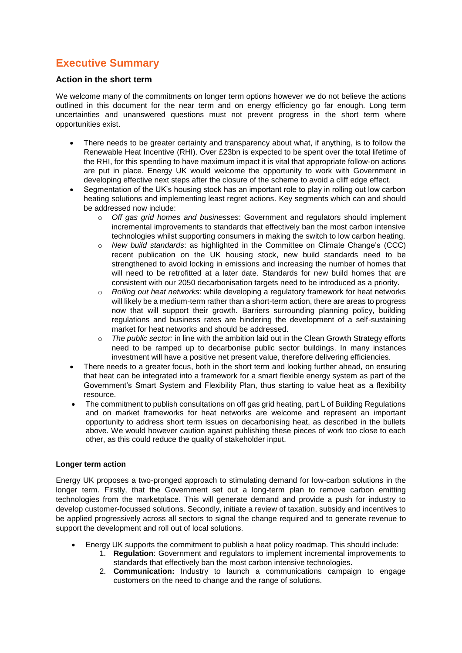# **Executive Summary**

### **Action in the short term**

We welcome many of the commitments on longer term options however we do not believe the actions outlined in this document for the near term and on energy efficiency go far enough. Long term uncertainties and unanswered questions must not prevent progress in the short term where opportunities exist.

- There needs to be greater certainty and transparency about what, if anything, is to follow the Renewable Heat Incentive (RHI). Over £23bn is expected to be spent over the total lifetime of the RHI, for this spending to have maximum impact it is vital that appropriate follow-on actions are put in place. Energy UK would welcome the opportunity to work with Government in developing effective next steps after the closure of the scheme to avoid a cliff edge effect.
- Segmentation of the UK's housing stock has an important role to play in rolling out low carbon heating solutions and implementing least regret actions. Key segments which can and should be addressed now include:
	- o *Off gas grid homes and businesses*: Government and regulators should implement incremental improvements to standards that effectively ban the most carbon intensive technologies whilst supporting consumers in making the switch to low carbon heating.
	- o *New build standards*: as highlighted in the Committee on Climate Change's (CCC) recent publication on the UK housing stock, new build standards need to be strengthened to avoid locking in emissions and increasing the number of homes that will need to be retrofitted at a later date. Standards for new build homes that are consistent with our 2050 decarbonisation targets need to be introduced as a priority.
	- o *Rolling out heat networks*: while developing a regulatory framework for heat networks will likely be a medium-term rather than a short-term action, there are areas to progress now that will support their growth. Barriers surrounding planning policy, building regulations and business rates are hindering the development of a self-sustaining market for heat networks and should be addressed.
	- o *The public sector:* in line with the ambition laid out in the Clean Growth Strategy efforts need to be ramped up to decarbonise public sector buildings. In many instances investment will have a positive net present value, therefore delivering efficiencies.
- There needs to a greater focus, both in the short term and looking further ahead, on ensuring that heat can be integrated into a framework for a smart flexible energy system as part of the Government's Smart System and Flexibility Plan, thus starting to value heat as a flexibility resource.
- The commitment to publish consultations on off gas grid heating, part L of Building Regulations and on market frameworks for heat networks are welcome and represent an important opportunity to address short term issues on decarbonising heat, as described in the bullets above. We would however caution against publishing these pieces of work too close to each other, as this could reduce the quality of stakeholder input.

## **Longer term action**

Energy UK proposes a two-pronged approach to stimulating demand for low-carbon solutions in the longer term. Firstly, that the Government set out a long-term plan to remove carbon emitting technologies from the marketplace. This will generate demand and provide a push for industry to develop customer-focussed solutions. Secondly, initiate a review of taxation, subsidy and incentives to be applied progressively across all sectors to signal the change required and to generate revenue to support the development and roll out of local solutions.

- Energy UK supports the commitment to publish a heat policy roadmap. This should include:
	- 1. **Regulation**: Government and regulators to implement incremental improvements to standards that effectively ban the most carbon intensive technologies.
	- 2. **Communication:** Industry to launch a communications campaign to engage customers on the need to change and the range of solutions.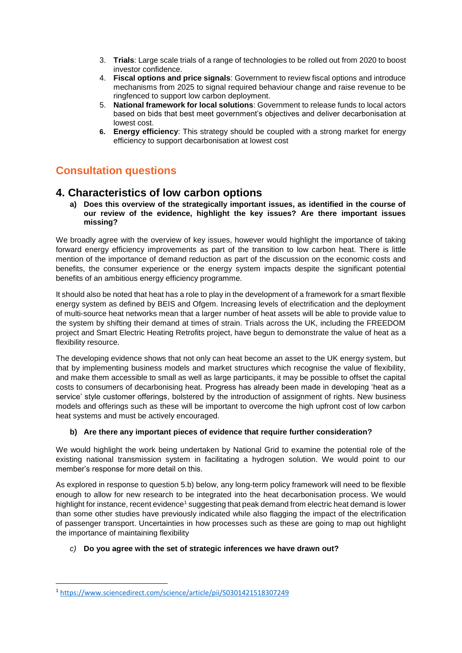- 3. **Trials**: Large scale trials of a range of technologies to be rolled out from 2020 to boost investor confidence.
- 4. **Fiscal options and price signals**: Government to review fiscal options and introduce mechanisms from 2025 to signal required behaviour change and raise revenue to be ringfenced to support low carbon deployment.
- 5. **National framework for local solutions**: Government to release funds to local actors based on bids that best meet government's objectives and deliver decarbonisation at lowest cost.
- **6. Energy efficiency**: This strategy should be coupled with a strong market for energy efficiency to support decarbonisation at lowest cost

# **Consultation questions**

# **4. Characteristics of low carbon options**

**a) Does this overview of the strategically important issues, as identified in the course of our review of the evidence, highlight the key issues? Are there important issues missing?** 

We broadly agree with the overview of key issues, however would highlight the importance of taking forward energy efficiency improvements as part of the transition to low carbon heat. There is little mention of the importance of demand reduction as part of the discussion on the economic costs and benefits, the consumer experience or the energy system impacts despite the significant potential benefits of an ambitious energy efficiency programme.

It should also be noted that heat has a role to play in the development of a framework for a smart flexible energy system as defined by BEIS and Ofgem. Increasing levels of electrification and the deployment of multi-source heat networks mean that a larger number of heat assets will be able to provide value to the system by shifting their demand at times of strain. Trials across the UK, including the FREEDOM project and Smart Electric Heating Retrofits project, have begun to demonstrate the value of heat as a flexibility resource.

The developing evidence shows that not only can heat become an asset to the UK energy system, but that by implementing business models and market structures which recognise the value of flexibility, and make them accessible to small as well as large participants, it may be possible to offset the capital costs to consumers of decarbonising heat. Progress has already been made in developing 'heat as a service' style customer offerings, bolstered by the introduction of assignment of rights. New business models and offerings such as these will be important to overcome the high upfront cost of low carbon heat systems and must be actively encouraged.

## **b) Are there any important pieces of evidence that require further consideration?**

We would highlight the work being undertaken by National Grid to examine the potential role of the existing national transmission system in facilitating a hydrogen solution. We would point to our member's response for more detail on this.

As explored in response to question 5.b) below, any long-term policy framework will need to be flexible enough to allow for new research to be integrated into the heat decarbonisation process. We would highlight for instance, recent evidence<sup>1</sup> suggesting that peak demand from electric heat demand is lower than some other studies have previously indicated while also flagging the impact of the electrification of passenger transport. Uncertainties in how processes such as these are going to map out highlight the importance of maintaining flexibility

## *c)* **Do you agree with the set of strategic inferences we have drawn out?**

**.** 

<sup>1</sup> <https://www.sciencedirect.com/science/article/pii/S0301421518307249>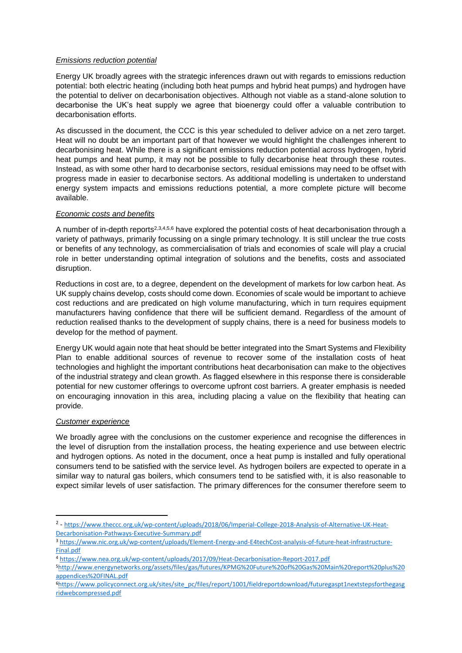#### *Emissions reduction potential*

Energy UK broadly agrees with the strategic inferences drawn out with regards to emissions reduction potential: both electric heating (including both heat pumps and hybrid heat pumps) and hydrogen have the potential to deliver on decarbonisation objectives. Although not viable as a stand-alone solution to decarbonise the UK's heat supply we agree that bioenergy could offer a valuable contribution to decarbonisation efforts.

As discussed in the document, the CCC is this year scheduled to deliver advice on a net zero target. Heat will no doubt be an important part of that however we would highlight the challenges inherent to decarbonising heat. While there is a significant emissions reduction potential across hydrogen, hybrid heat pumps and heat pump, it may not be possible to fully decarbonise heat through these routes. Instead, as with some other hard to decarbonise sectors, residual emissions may need to be offset with progress made in easier to decarbonise sectors. As additional modelling is undertaken to understand energy system impacts and emissions reductions potential, a more complete picture will become available.

#### *Economic costs and benefits*

A number of in-depth reports<sup>2,3,4,5,6</sup> have explored the potential costs of heat decarbonisation through a variety of pathways, primarily focussing on a single primary technology. It is still unclear the true costs or benefits of any technology, as commercialisation of trials and economies of scale will play a crucial role in better understanding optimal integration of solutions and the benefits, costs and associated disruption.

Reductions in cost are, to a degree, dependent on the development of markets for low carbon heat. As UK supply chains develop, costs should come down. Economies of scale would be important to achieve cost reductions and are predicated on high volume manufacturing, which in turn requires equipment manufacturers having confidence that there will be sufficient demand. Regardless of the amount of reduction realised thanks to the development of supply chains, there is a need for business models to develop for the method of payment.

Energy UK would again note that heat should be better integrated into the Smart Systems and Flexibility Plan to enable additional sources of revenue to recover some of the installation costs of heat technologies and highlight the important contributions heat decarbonisation can make to the objectives of the industrial strategy and clean growth. As flagged elsewhere in this response there is considerable potential for new customer offerings to overcome upfront cost barriers. A greater emphasis is needed on encouraging innovation in this area, including placing a value on the flexibility that heating can provide.

#### *Customer experience*

**.** 

We broadly agree with the conclusions on the customer experience and recognise the differences in the level of disruption from the installation process, the heating experience and use between electric and hydrogen options. As noted in the document, once a heat pump is installed and fully operational consumers tend to be satisfied with the service level. As hydrogen boilers are expected to operate in a similar way to natural gas boilers, which consumers tend to be satisfied with, it is also reasonable to expect similar levels of user satisfaction. The primary differences for the consumer therefore seem to

<sup>4</sup> <https://www.nea.org.uk/wp-content/uploads/2017/09/Heat-Decarbonisation-Report-2017.pdf>

<sup>&</sup>lt;sup>2</sup> - [https://www.theccc.org.uk/wp-content/uploads/2018/06/Imperial-College-2018-Analysis-of-Alternative-UK-Heat-](https://www.theccc.org.uk/wp-content/uploads/2018/06/Imperial-College-2018-Analysis-of-Alternative-UK-Heat-Decarbonisation-Pathways-Executive-Summary.pdf)[Decarbonisation-Pathways-Executive-Summary.pdf](https://www.theccc.org.uk/wp-content/uploads/2018/06/Imperial-College-2018-Analysis-of-Alternative-UK-Heat-Decarbonisation-Pathways-Executive-Summary.pdf)

<sup>3</sup> [https://www.nic.org.uk/wp-content/uploads/Element-Energy-and-E4techCost-analysis-of-future-heat-infrastructure-](https://www.nic.org.uk/wp-content/uploads/Element-Energy-and-E4techCost-analysis-of-future-heat-infrastructure-Final.pdf)[Final.pdf](https://www.nic.org.uk/wp-content/uploads/Element-Energy-and-E4techCost-analysis-of-future-heat-infrastructure-Final.pdf)

<sup>5</sup>[http://www.energynetworks.org/assets/files/gas/futures/KPMG%20Future%20of%20Gas%20Main%20report%20plus%20](http://www.energynetworks.org/assets/files/gas/futures/KPMG%20Future%20of%20Gas%20Main%20report%20plus%20appendices%20FINAL.pdf) [appendices%20FINAL.pdf](http://www.energynetworks.org/assets/files/gas/futures/KPMG%20Future%20of%20Gas%20Main%20report%20plus%20appendices%20FINAL.pdf)

<sup>6</sup>[https://www.policyconnect.org.uk/sites/site\\_pc/files/report/1001/fieldreportdownload/futuregaspt1nextstepsforthegasg](https://www.policyconnect.org.uk/sites/site_pc/files/report/1001/fieldreportdownload/futuregaspt1nextstepsforthegasgridwebcompressed.pdf) [ridwebcompressed.pdf](https://www.policyconnect.org.uk/sites/site_pc/files/report/1001/fieldreportdownload/futuregaspt1nextstepsforthegasgridwebcompressed.pdf)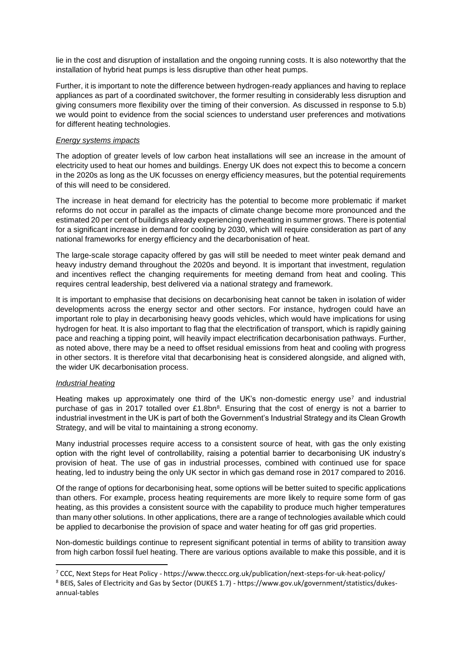lie in the cost and disruption of installation and the ongoing running costs. It is also noteworthy that the installation of hybrid heat pumps is less disruptive than other heat pumps.

Further, it is important to note the difference between hydrogen-ready appliances and having to replace appliances as part of a coordinated switchover, the former resulting in considerably less disruption and giving consumers more flexibility over the timing of their conversion. As discussed in response to 5.b) we would point to evidence from the social sciences to understand user preferences and motivations for different heating technologies.

#### *Energy systems impacts*

The adoption of greater levels of low carbon heat installations will see an increase in the amount of electricity used to heat our homes and buildings. Energy UK does not expect this to become a concern in the 2020s as long as the UK focusses on energy efficiency measures, but the potential requirements of this will need to be considered.

The increase in heat demand for electricity has the potential to become more problematic if market reforms do not occur in parallel as the impacts of climate change become more pronounced and the estimated 20 per cent of buildings already experiencing overheating in summer grows. There is potential for a significant increase in demand for cooling by 2030, which will require consideration as part of any national frameworks for energy efficiency and the decarbonisation of heat.

The large-scale storage capacity offered by gas will still be needed to meet winter peak demand and heavy industry demand throughout the 2020s and beyond. It is important that investment, regulation and incentives reflect the changing requirements for meeting demand from heat and cooling. This requires central leadership, best delivered via a national strategy and framework.

It is important to emphasise that decisions on decarbonising heat cannot be taken in isolation of wider developments across the energy sector and other sectors. For instance, hydrogen could have an important role to play in decarbonising heavy goods vehicles, which would have implications for using hydrogen for heat. It is also important to flag that the electrification of transport, which is rapidly gaining pace and reaching a tipping point, will heavily impact electrification decarbonisation pathways. Further, as noted above, there may be a need to offset residual emissions from heat and cooling with progress in other sectors. It is therefore vital that decarbonising heat is considered alongside, and aligned with, the wider UK decarbonisation process.

#### *Industrial heating*

**.** 

Heating makes up approximately one third of the UK's non-domestic energy use<sup>7</sup> and industrial purchase of gas in 2017 totalled over £1.8bn<sup>8</sup>. Ensuring that the cost of energy is not a barrier to industrial investment in the UK is part of both the Government's Industrial Strategy and its Clean Growth Strategy, and will be vital to maintaining a strong economy.

Many industrial processes require access to a consistent source of heat, with gas the only existing option with the right level of controllability, raising a potential barrier to decarbonising UK industry's provision of heat. The use of gas in industrial processes, combined with continued use for space heating, led to industry being the only UK sector in which gas demand rose in 2017 compared to 2016.

Of the range of options for decarbonising heat, some options will be better suited to specific applications than others. For example, process heating requirements are more likely to require some form of gas heating, as this provides a consistent source with the capability to produce much higher temperatures than many other solutions. In other applications, there are a range of technologies available which could be applied to decarbonise the provision of space and water heating for off gas grid properties.

Non-domestic buildings continue to represent significant potential in terms of ability to transition away from high carbon fossil fuel heating. There are various options available to make this possible, and it is

<sup>7</sup> CCC, Next Steps for Heat Policy - https://www.theccc.org.uk/publication/next-steps-for-uk-heat-policy/

<sup>8</sup> BEIS, Sales of Electricity and Gas by Sector (DUKES 1.7) - https://www.gov.uk/government/statistics/dukesannual-tables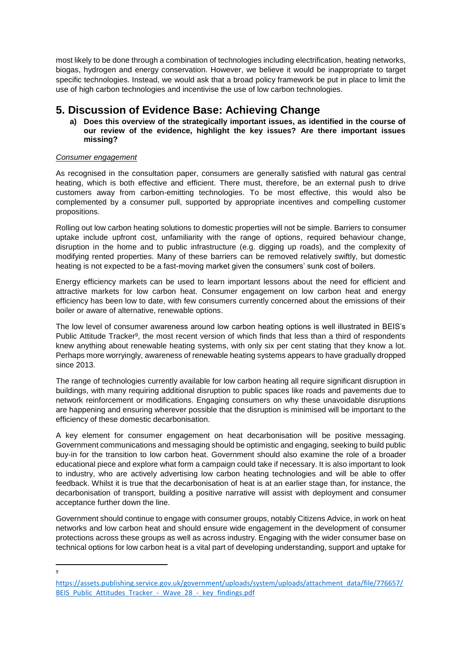most likely to be done through a combination of technologies including electrification, heating networks, biogas, hydrogen and energy conservation. However, we believe it would be inappropriate to target specific technologies. Instead, we would ask that a broad policy framework be put in place to limit the use of high carbon technologies and incentivise the use of low carbon technologies.

# **5. Discussion of Evidence Base: Achieving Change**

**a) Does this overview of the strategically important issues, as identified in the course of our review of the evidence, highlight the key issues? Are there important issues missing?** 

### *Consumer engagement*

As recognised in the consultation paper, consumers are generally satisfied with natural gas central heating, which is both effective and efficient. There must, therefore, be an external push to drive customers away from carbon-emitting technologies. To be most effective, this would also be complemented by a consumer pull, supported by appropriate incentives and compelling customer propositions.

Rolling out low carbon heating solutions to domestic properties will not be simple. Barriers to consumer uptake include upfront cost, unfamiliarity with the range of options, required behaviour change, disruption in the home and to public infrastructure (e.g. digging up roads), and the complexity of modifying rented properties. Many of these barriers can be removed relatively swiftly, but domestic heating is not expected to be a fast-moving market given the consumers' sunk cost of boilers.

Energy efficiency markets can be used to learn important lessons about the need for efficient and attractive markets for low carbon heat. Consumer engagement on low carbon heat and energy efficiency has been low to date, with few consumers currently concerned about the emissions of their boiler or aware of alternative, renewable options.

The low level of consumer awareness around low carbon heating options is well illustrated in BEIS's Public Attitude Tracker<sup>9</sup>, the most recent version of which finds that less than a third of respondents knew anything about renewable heating systems, with only six per cent stating that they know a lot. Perhaps more worryingly, awareness of renewable heating systems appears to have gradually dropped since 2013.

The range of technologies currently available for low carbon heating all require significant disruption in buildings, with many requiring additional disruption to public spaces like roads and pavements due to network reinforcement or modifications. Engaging consumers on why these unavoidable disruptions are happening and ensuring wherever possible that the disruption is minimised will be important to the efficiency of these domestic decarbonisation.

A key element for consumer engagement on heat decarbonisation will be positive messaging. Government communications and messaging should be optimistic and engaging, seeking to build public buy-in for the transition to low carbon heat. Government should also examine the role of a broader educational piece and explore what form a campaign could take if necessary. It is also important to look to industry, who are actively advertising low carbon heating technologies and will be able to offer feedback. Whilst it is true that the decarbonisation of heat is at an earlier stage than, for instance, the decarbonisation of transport, building a positive narrative will assist with deployment and consumer acceptance further down the line.

Government should continue to engage with consumer groups, notably Citizens Advice, in work on heat networks and low carbon heat and should ensure wide engagement in the development of consumer protections across these groups as well as across industry. Engaging with the wider consumer base on technical options for low carbon heat is a vital part of developing understanding, support and uptake for

-<br>9

[https://assets.publishing.service.gov.uk/government/uploads/system/uploads/attachment\\_data/file/776657/](https://assets.publishing.service.gov.uk/government/uploads/system/uploads/attachment_data/file/776657/BEIS_Public_Attitudes_Tracker_-_Wave_28_-_key_findings.pdf) [BEIS\\_Public\\_Attitudes\\_Tracker\\_-\\_Wave\\_28\\_-\\_key\\_findings.pdf](https://assets.publishing.service.gov.uk/government/uploads/system/uploads/attachment_data/file/776657/BEIS_Public_Attitudes_Tracker_-_Wave_28_-_key_findings.pdf)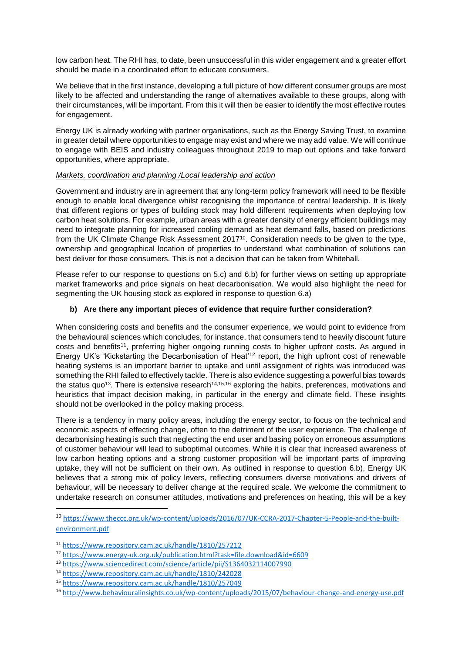low carbon heat. The RHI has, to date, been unsuccessful in this wider engagement and a greater effort should be made in a coordinated effort to educate consumers.

We believe that in the first instance, developing a full picture of how different consumer groups are most likely to be affected and understanding the range of alternatives available to these groups, along with their circumstances, will be important. From this it will then be easier to identify the most effective routes for engagement.

Energy UK is already working with partner organisations, such as the Energy Saving Trust, to examine in greater detail where opportunities to engage may exist and where we may add value. We will continue to engage with BEIS and industry colleagues throughout 2019 to map out options and take forward opportunities, where appropriate.

#### *Markets, coordination and planning /Local leadership and action*

Government and industry are in agreement that any long-term policy framework will need to be flexible enough to enable local divergence whilst recognising the importance of central leadership. It is likely that different regions or types of building stock may hold different requirements when deploying low carbon heat solutions. For example, urban areas with a greater density of energy efficient buildings may need to integrate planning for increased cooling demand as heat demand falls, based on predictions from the UK Climate Change Risk Assessment 2017<sup>10</sup>. Consideration needs to be given to the type, ownership and geographical location of properties to understand what combination of solutions can best deliver for those consumers. This is not a decision that can be taken from Whitehall.

Please refer to our response to questions on 5.c) and 6.b) for further views on setting up appropriate market frameworks and price signals on heat decarbonisation. We would also highlight the need for segmenting the UK housing stock as explored in response to question 6.a)

#### **b) Are there any important pieces of evidence that require further consideration?**

When considering costs and benefits and the consumer experience, we would point to evidence from the behavioural sciences which concludes, for instance, that consumers tend to heavily discount future costs and benefits<sup>11</sup>, preferring higher ongoing running costs to higher upfront costs. As argued in Energy UK's 'Kickstarting the Decarbonisation of Heat'<sup>12</sup> report, the high upfront cost of renewable heating systems is an important barrier to uptake and until assignment of rights was introduced was something the RHI failed to effectively tackle. There is also evidence suggesting a powerful bias towards the status quo<sup>13</sup>. There is extensive research<sup>14,15,16</sup> exploring the habits, preferences, motivations and heuristics that impact decision making, in particular in the energy and climate field. These insights should not be overlooked in the policy making process.

There is a tendency in many policy areas, including the energy sector, to focus on the technical and economic aspects of effecting change, often to the detriment of the user experience. The challenge of decarbonising heating is such that neglecting the end user and basing policy on erroneous assumptions of customer behaviour will lead to suboptimal outcomes. While it is clear that increased awareness of low carbon heating options and a strong customer proposition will be important parts of improving uptake, they will not be sufficient on their own. As outlined in response to question 6.b), Energy UK believes that a strong mix of policy levers, reflecting consumers diverse motivations and drivers of behaviour, will be necessary to deliver change at the required scale. We welcome the commitment to undertake research on consumer attitudes, motivations and preferences on heating, this will be a key

**.** 

<sup>10</sup> [https://www.theccc.org.uk/wp-content/uploads/2016/07/UK-CCRA-2017-Chapter-5-People-and-the-built](https://www.theccc.org.uk/wp-content/uploads/2016/07/UK-CCRA-2017-Chapter-5-People-and-the-built-environment.pdf)[environment.pdf](https://www.theccc.org.uk/wp-content/uploads/2016/07/UK-CCRA-2017-Chapter-5-People-and-the-built-environment.pdf)

<sup>11</sup> <https://www.repository.cam.ac.uk/handle/1810/257212>

<sup>12</sup> <https://www.energy-uk.org.uk/publication.html?task=file.download&id=6609>

<sup>13</sup> <https://www.sciencedirect.com/science/article/pii/S1364032114007990>

<sup>14</sup> <https://www.repository.cam.ac.uk/handle/1810/242028>

<sup>15</sup> <https://www.repository.cam.ac.uk/handle/1810/257049>

<sup>16</sup> <http://www.behaviouralinsights.co.uk/wp-content/uploads/2015/07/behaviour-change-and-energy-use.pdf>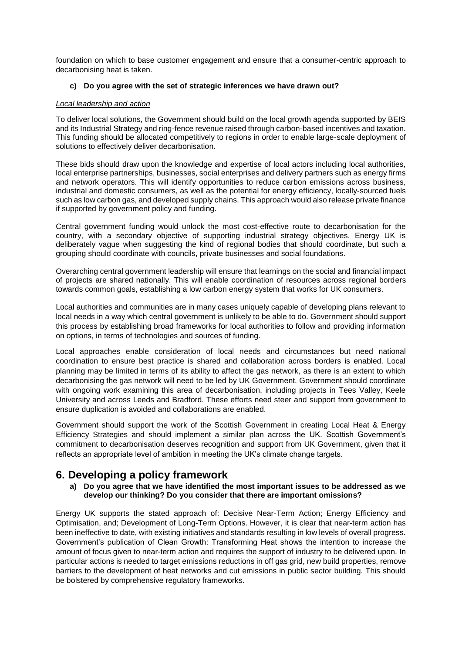foundation on which to base customer engagement and ensure that a consumer-centric approach to decarbonising heat is taken.

#### **c) Do you agree with the set of strategic inferences we have drawn out?**

#### *Local leadership and action*

To deliver local solutions, the Government should build on the local growth agenda supported by BEIS and its Industrial Strategy and ring-fence revenue raised through carbon-based incentives and taxation. This funding should be allocated competitively to regions in order to enable large-scale deployment of solutions to effectively deliver decarbonisation.

These bids should draw upon the knowledge and expertise of local actors including local authorities, local enterprise partnerships, businesses, social enterprises and delivery partners such as energy firms and network operators. This will identify opportunities to reduce carbon emissions across business, industrial and domestic consumers, as well as the potential for energy efficiency, locally-sourced fuels such as low carbon gas, and developed supply chains. This approach would also release private finance if supported by government policy and funding.

Central government funding would unlock the most cost-effective route to decarbonisation for the country, with a secondary objective of supporting industrial strategy objectives. Energy UK is deliberately vague when suggesting the kind of regional bodies that should coordinate, but such a grouping should coordinate with councils, private businesses and social foundations.

Overarching central government leadership will ensure that learnings on the social and financial impact of projects are shared nationally. This will enable coordination of resources across regional borders towards common goals, establishing a low carbon energy system that works for UK consumers.

Local authorities and communities are in many cases uniquely capable of developing plans relevant to local needs in a way which central government is unlikely to be able to do. Government should support this process by establishing broad frameworks for local authorities to follow and providing information on options, in terms of technologies and sources of funding.

Local approaches enable consideration of local needs and circumstances but need national coordination to ensure best practice is shared and collaboration across borders is enabled. Local planning may be limited in terms of its ability to affect the gas network, as there is an extent to which decarbonising the gas network will need to be led by UK Government. Government should coordinate with ongoing work examining this area of decarbonisation, including projects in Tees Valley, Keele University and across Leeds and Bradford. These efforts need steer and support from government to ensure duplication is avoided and collaborations are enabled.

Government should support the work of the Scottish Government in creating Local Heat & Energy Efficiency Strategies and should implement a similar plan across the UK. Scottish Government's commitment to decarbonisation deserves recognition and support from UK Government, given that it reflects an appropriate level of ambition in meeting the UK's climate change targets.

# **6. Developing a policy framework**

#### **a) Do you agree that we have identified the most important issues to be addressed as we develop our thinking? Do you consider that there are important omissions?**

Energy UK supports the stated approach of: Decisive Near-Term Action; Energy Efficiency and Optimisation, and; Development of Long-Term Options. However, it is clear that near-term action has been ineffective to date, with existing initiatives and standards resulting in low levels of overall progress. Government's publication of Clean Growth: Transforming Heat shows the intention to increase the amount of focus given to near-term action and requires the support of industry to be delivered upon. In particular actions is needed to target emissions reductions in off gas grid, new build properties, remove barriers to the development of heat networks and cut emissions in public sector building. This should be bolstered by comprehensive regulatory frameworks.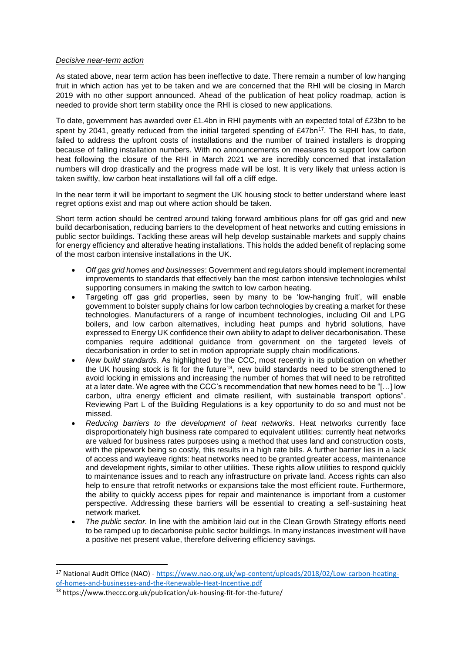#### *Decisive near-term action*

As stated above, near term action has been ineffective to date. There remain a number of low hanging fruit in which action has yet to be taken and we are concerned that the RHI will be closing in March 2019 with no other support announced. Ahead of the publication of heat policy roadmap, action is needed to provide short term stability once the RHI is closed to new applications.

To date, government has awarded over £1.4bn in RHI payments with an expected total of £23bn to be spent by 2041, greatly reduced from the initial targeted spending of  $£47bn^{17}$ . The RHI has, to date, failed to address the upfront costs of installations and the number of trained installers is dropping because of falling installation numbers. With no announcements on measures to support low carbon heat following the closure of the RHI in March 2021 we are incredibly concerned that installation numbers will drop drastically and the progress made will be lost. It is very likely that unless action is taken swiftly, low carbon heat installations will fall off a cliff edge.

In the near term it will be important to segment the UK housing stock to better understand where least regret options exist and map out where action should be taken.

Short term action should be centred around taking forward ambitious plans for off gas grid and new build decarbonisation, reducing barriers to the development of heat networks and cutting emissions in public sector buildings. Tackling these areas will help develop sustainable markets and supply chains for energy efficiency and alterative heating installations. This holds the added benefit of replacing some of the most carbon intensive installations in the UK.

- *Off gas grid homes and businesses*: Government and regulators should implement incremental improvements to standards that effectively ban the most carbon intensive technologies whilst supporting consumers in making the switch to low carbon heating.
- Targeting off gas grid properties, seen by many to be 'low-hanging fruit', will enable government to bolster supply chains for low carbon technologies by creating a market for these technologies. Manufacturers of a range of incumbent technologies, including Oil and LPG boilers, and low carbon alternatives, including heat pumps and hybrid solutions, have expressed to Energy UK confidence their own ability to adapt to deliver decarbonisation. These companies require additional guidance from government on the targeted levels of decarbonisation in order to set in motion appropriate supply chain modifications.
- *New build standards*. As highlighted by the CCC, most recently in its publication on whether the UK housing stock is fit for the future<sup>18</sup>, new build standards need to be strengthened to avoid locking in emissions and increasing the number of homes that will need to be retrofitted at a later date. We agree with the CCC's recommendation that new homes need to be "[…] low carbon, ultra energy efficient and climate resilient, with sustainable transport options". Reviewing Part L of the Building Regulations is a key opportunity to do so and must not be missed.
- *Reducing barriers to the development of heat networks*. Heat networks currently face disproportionately high business rate compared to equivalent utilities: currently heat networks are valued for business rates purposes using a method that uses land and construction costs, with the pipework being so costly, this results in a high rate bills. A further barrier lies in a lack of access and wayleave rights: heat networks need to be granted greater access, maintenance and development rights, similar to other utilities. These rights allow utilities to respond quickly to maintenance issues and to reach any infrastructure on private land. Access rights can also help to ensure that retrofit networks or expansions take the most efficient route. Furthermore, the ability to quickly access pipes for repair and maintenance is important from a customer perspective. Addressing these barriers will be essential to creating a self-sustaining heat network market.
- *The public sector.* In line with the ambition laid out in the Clean Growth Strategy efforts need to be ramped up to decarbonise public sector buildings. In many instances investment will have a positive net present value, therefore delivering efficiency savings.

**.** 

<sup>17</sup> National Audit Office (NAO) - [https://www.nao.org.uk/wp-content/uploads/2018/02/Low-carbon-heating](https://www.nao.org.uk/wp-content/uploads/2018/02/Low-carbon-heating-of-homes-and-businesses-and-the-Renewable-Heat-Incentive.pdf)[of-homes-and-businesses-and-the-Renewable-Heat-Incentive.pdf](https://www.nao.org.uk/wp-content/uploads/2018/02/Low-carbon-heating-of-homes-and-businesses-and-the-Renewable-Heat-Incentive.pdf)

<sup>18</sup> https://www.theccc.org.uk/publication/uk-housing-fit-for-the-future/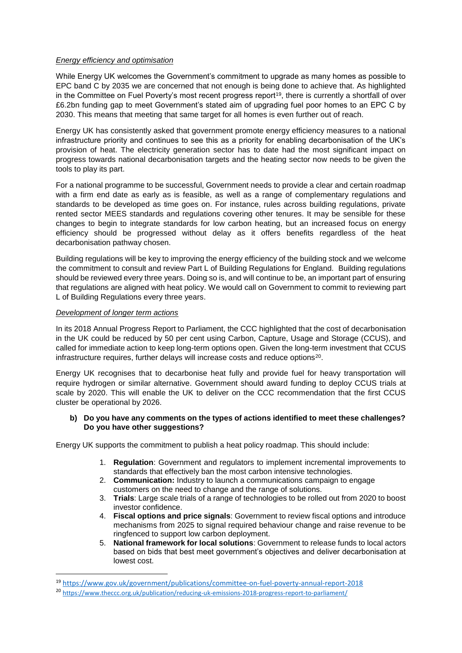#### *Energy efficiency and optimisation*

While Energy UK welcomes the Government's commitment to upgrade as many homes as possible to EPC band C by 2035 we are concerned that not enough is being done to achieve that. As highlighted in the Committee on Fuel Poverty's most recent progress report<sup>19</sup>, there is currently a shortfall of over £6.2bn funding gap to meet Government's stated aim of upgrading fuel poor homes to an EPC C by 2030. This means that meeting that same target for all homes is even further out of reach.

Energy UK has consistently asked that government promote energy efficiency measures to a national infrastructure priority and continues to see this as a priority for enabling decarbonisation of the UK's provision of heat. The electricity generation sector has to date had the most significant impact on progress towards national decarbonisation targets and the heating sector now needs to be given the tools to play its part.

For a national programme to be successful, Government needs to provide a clear and certain roadmap with a firm end date as early as is feasible, as well as a range of complementary regulations and standards to be developed as time goes on. For instance, rules across building regulations, private rented sector MEES standards and regulations covering other tenures. It may be sensible for these changes to begin to integrate standards for low carbon heating, but an increased focus on energy efficiency should be progressed without delay as it offers benefits regardless of the heat decarbonisation pathway chosen.

Building regulations will be key to improving the energy efficiency of the building stock and we welcome the commitment to consult and review Part L of Building Regulations for England. Building regulations should be reviewed every three years. Doing so is, and will continue to be, an important part of ensuring that regulations are aligned with heat policy. We would call on Government to commit to reviewing part L of Building Regulations every three years.

#### *Development of longer term actions*

1

In its 2018 Annual Progress Report to Parliament, the CCC highlighted that the cost of decarbonisation in the UK could be reduced by 50 per cent using Carbon, Capture, Usage and Storage (CCUS), and called for immediate action to keep long-term options open. Given the long-term investment that CCUS infrastructure requires, further delays will increase costs and reduce options<sup>20</sup>.

Energy UK recognises that to decarbonise heat fully and provide fuel for heavy transportation will require hydrogen or similar alternative. Government should award funding to deploy CCUS trials at scale by 2020. This will enable the UK to deliver on the CCC recommendation that the first CCUS cluster be operational by 2026.

#### **b) Do you have any comments on the types of actions identified to meet these challenges? Do you have other suggestions?**

Energy UK supports the commitment to publish a heat policy roadmap. This should include:

- 1. **Regulation**: Government and regulators to implement incremental improvements to standards that effectively ban the most carbon intensive technologies.
- 2. **Communication:** Industry to launch a communications campaign to engage customers on the need to change and the range of solutions.
- 3. **Trials**: Large scale trials of a range of technologies to be rolled out from 2020 to boost investor confidence.
- 4. **Fiscal options and price signals**: Government to review fiscal options and introduce mechanisms from 2025 to signal required behaviour change and raise revenue to be ringfenced to support low carbon deployment.
- 5. **National framework for local solutions**: Government to release funds to local actors based on bids that best meet government's objectives and deliver decarbonisation at lowest cost.

<sup>19</sup> <https://www.gov.uk/government/publications/committee-on-fuel-poverty-annual-report-2018>

<sup>20</sup> <https://www.theccc.org.uk/publication/reducing-uk-emissions-2018-progress-report-to-parliament/>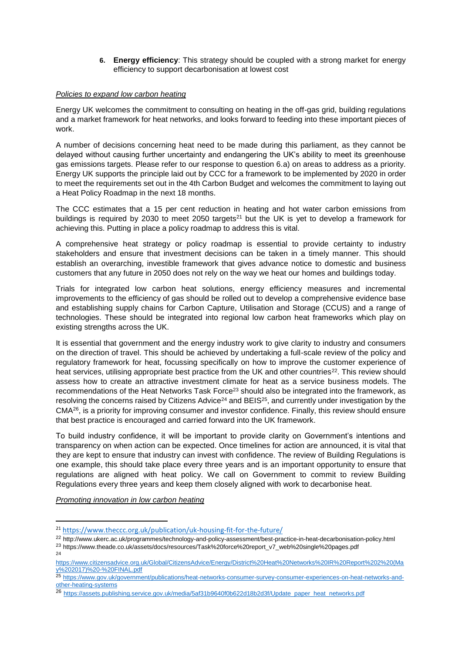**6. Energy efficiency**: This strategy should be coupled with a strong market for energy efficiency to support decarbonisation at lowest cost

#### *Policies to expand low carbon heating*

Energy UK welcomes the commitment to consulting on heating in the off-gas grid, building regulations and a market framework for heat networks, and looks forward to feeding into these important pieces of work.

A number of decisions concerning heat need to be made during this parliament, as they cannot be delayed without causing further uncertainty and endangering the UK's ability to meet its greenhouse gas emissions targets. Please refer to our response to question 6.a) on areas to address as a priority. Energy UK supports the principle laid out by CCC for a framework to be implemented by 2020 in order to meet the requirements set out in the 4th Carbon Budget and welcomes the commitment to laying out a Heat Policy Roadmap in the next 18 months.

The CCC estimates that a 15 per cent reduction in heating and hot water carbon emissions from buildings is required by 2030 to meet 2050 targets<sup>21</sup> but the UK is yet to develop a framework for achieving this. Putting in place a policy roadmap to address this is vital.

A comprehensive heat strategy or policy roadmap is essential to provide certainty to industry stakeholders and ensure that investment decisions can be taken in a timely manner. This should establish an overarching, investible framework that gives advance notice to domestic and business customers that any future in 2050 does not rely on the way we heat our homes and buildings today.

Trials for integrated low carbon heat solutions, energy efficiency measures and incremental improvements to the efficiency of gas should be rolled out to develop a comprehensive evidence base and establishing supply chains for Carbon Capture, Utilisation and Storage (CCUS) and a range of technologies. These should be integrated into regional low carbon heat frameworks which play on existing strengths across the UK.

It is essential that government and the energy industry work to give clarity to industry and consumers on the direction of travel. This should be achieved by undertaking a full-scale review of the policy and regulatory framework for heat, focussing specifically on how to improve the customer experience of heat services, utilising appropriate best practice from the UK and other countries<sup>22</sup>. This review should assess how to create an attractive investment climate for heat as a service business models. The recommendations of the Heat Networks Task Force<sup>23</sup> should also be integrated into the framework, as resolving the concerns raised by Citizens Advice<sup>24</sup> and BEIS<sup>25</sup>, and currently under investigation by the  $CMA^{26}$ , is a priority for improving consumer and investor confidence. Finally, this review should ensure that best practice is encouraged and carried forward into the UK framework.

To build industry confidence, it will be important to provide clarity on Government's intentions and transparency on when action can be expected. Once timelines for action are announced, it is vital that they are kept to ensure that industry can invest with confidence. The review of Building Regulations is one example, this should take place every three years and is an important opportunity to ensure that regulations are aligned with heat policy. We call on Government to commit to review Building Regulations every three years and keep them closely aligned with work to decarbonise heat.

*Promoting innovation in low carbon heating*

1

<sup>21</sup> <https://www.theccc.org.uk/publication/uk-housing-fit-for-the-future/>

<sup>22</sup> http://www.ukerc.ac.uk/programmes/technology-and-policy-assessment/best-practice-in-heat-decarbonisation-policy.html

<sup>23</sup> https://www.theade.co.uk/assets/docs/resources/Task%20force%20report\_v7\_web%20single%20pages.pdf 24

[https://www.citizensadvice.org.uk/Global/CitizensAdvice/Energy/District%20Heat%20Networks%20IR%20Report%202%20\(Ma](https://www.citizensadvice.org.uk/Global/CitizensAdvice/Energy/District%20Heat%20Networks%20IR%20Report%202%20(May%202017)%20-%20FINAL.pdf) [y%202017\)%20-%20FINAL.pdf](https://www.citizensadvice.org.uk/Global/CitizensAdvice/Energy/District%20Heat%20Networks%20IR%20Report%202%20(May%202017)%20-%20FINAL.pdf)

<sup>25</sup> [https://www.gov.uk/government/publications/heat-networks-consumer-survey-consumer-experiences-on-heat-networks-and](https://www.gov.uk/government/publications/heat-networks-consumer-survey-consumer-experiences-on-heat-networks-and-other-heating-systems)[other-heating-systems](https://www.gov.uk/government/publications/heat-networks-consumer-survey-consumer-experiences-on-heat-networks-and-other-heating-systems)

<sup>26</sup> [https://assets.publishing.service.gov.uk/media/5af31b9640f0b622d18b2d3f/Update\\_paper\\_heat\\_networks.pdf](https://assets.publishing.service.gov.uk/media/5af31b9640f0b622d18b2d3f/Update_paper_heat_networks.pdf)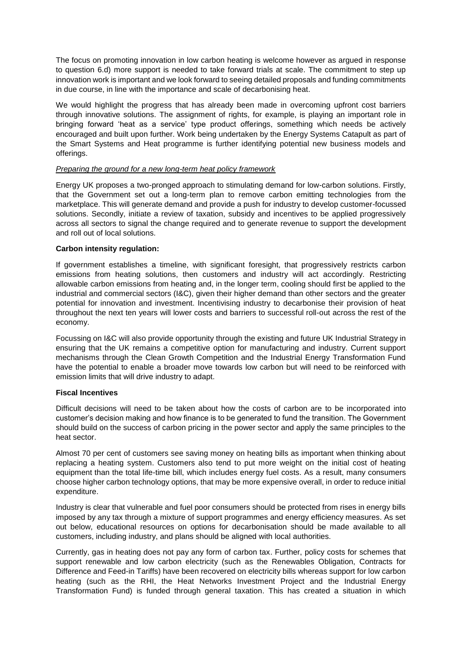The focus on promoting innovation in low carbon heating is welcome however as argued in response to question 6.d) more support is needed to take forward trials at scale. The commitment to step up innovation work is important and we look forward to seeing detailed proposals and funding commitments in due course, in line with the importance and scale of decarbonising heat.

We would highlight the progress that has already been made in overcoming upfront cost barriers through innovative solutions. The assignment of rights, for example, is playing an important role in bringing forward 'heat as a service' type product offerings, something which needs be actively encouraged and built upon further. Work being undertaken by the Energy Systems Catapult as part of the Smart Systems and Heat programme is further identifying potential new business models and offerings.

#### *Preparing the ground for a new long-term heat policy framework*

Energy UK proposes a two-pronged approach to stimulating demand for low-carbon solutions. Firstly, that the Government set out a long-term plan to remove carbon emitting technologies from the marketplace. This will generate demand and provide a push for industry to develop customer-focussed solutions. Secondly, initiate a review of taxation, subsidy and incentives to be applied progressively across all sectors to signal the change required and to generate revenue to support the development and roll out of local solutions.

#### **Carbon intensity regulation:**

If government establishes a timeline, with significant foresight, that progressively restricts carbon emissions from heating solutions, then customers and industry will act accordingly. Restricting allowable carbon emissions from heating and, in the longer term, cooling should first be applied to the industrial and commercial sectors (I&C), given their higher demand than other sectors and the greater potential for innovation and investment. Incentivising industry to decarbonise their provision of heat throughout the next ten years will lower costs and barriers to successful roll-out across the rest of the economy.

Focussing on I&C will also provide opportunity through the existing and future UK Industrial Strategy in ensuring that the UK remains a competitive option for manufacturing and industry. Current support mechanisms through the Clean Growth Competition and the Industrial Energy Transformation Fund have the potential to enable a broader move towards low carbon but will need to be reinforced with emission limits that will drive industry to adapt.

#### **Fiscal Incentives**

Difficult decisions will need to be taken about how the costs of carbon are to be incorporated into customer's decision making and how finance is to be generated to fund the transition. The Government should build on the success of carbon pricing in the power sector and apply the same principles to the heat sector.

Almost 70 per cent of customers see saving money on heating bills as important when thinking about replacing a heating system. Customers also tend to put more weight on the initial cost of heating equipment than the total life-time bill, which includes energy fuel costs. As a result, many consumers choose higher carbon technology options, that may be more expensive overall, in order to reduce initial expenditure.

Industry is clear that vulnerable and fuel poor consumers should be protected from rises in energy bills imposed by any tax through a mixture of support programmes and energy efficiency measures. As set out below, educational resources on options for decarbonisation should be made available to all customers, including industry, and plans should be aligned with local authorities.

Currently, gas in heating does not pay any form of carbon tax. Further, policy costs for schemes that support renewable and low carbon electricity (such as the Renewables Obligation, Contracts for Difference and Feed-in Tariffs) have been recovered on electricity bills whereas support for low carbon heating (such as the RHI, the Heat Networks Investment Project and the Industrial Energy Transformation Fund) is funded through general taxation. This has created a situation in which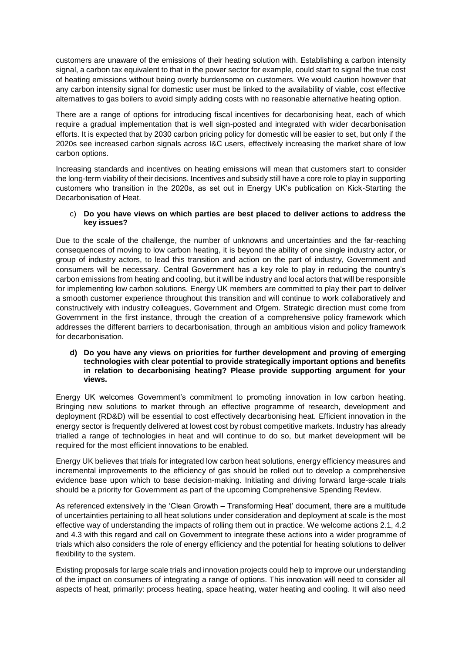customers are unaware of the emissions of their heating solution with. Establishing a carbon intensity signal, a carbon tax equivalent to that in the power sector for example, could start to signal the true cost of heating emissions without being overly burdensome on customers. We would caution however that any carbon intensity signal for domestic user must be linked to the availability of viable, cost effective alternatives to gas boilers to avoid simply adding costs with no reasonable alternative heating option.

There are a range of options for introducing fiscal incentives for decarbonising heat, each of which require a gradual implementation that is well sign-posted and integrated with wider decarbonisation efforts. It is expected that by 2030 carbon pricing policy for domestic will be easier to set, but only if the 2020s see increased carbon signals across I&C users, effectively increasing the market share of low carbon options.

Increasing standards and incentives on heating emissions will mean that customers start to consider the long-term viability of their decisions. Incentives and subsidy still have a core role to play in supporting customers who transition in the 2020s, as set out in Energy UK's publication on Kick-Starting the Decarbonisation of Heat.

#### c) **Do you have views on which parties are best placed to deliver actions to address the key issues?**

Due to the scale of the challenge, the number of unknowns and uncertainties and the far-reaching consequences of moving to low carbon heating, it is beyond the ability of one single industry actor, or group of industry actors, to lead this transition and action on the part of industry, Government and consumers will be necessary. Central Government has a key role to play in reducing the country's carbon emissions from heating and cooling, but it will be industry and local actors that will be responsible for implementing low carbon solutions. Energy UK members are committed to play their part to deliver a smooth customer experience throughout this transition and will continue to work collaboratively and constructively with industry colleagues, Government and Ofgem. Strategic direction must come from Government in the first instance, through the creation of a comprehensive policy framework which addresses the different barriers to decarbonisation, through an ambitious vision and policy framework for decarbonisation.

#### **d) Do you have any views on priorities for further development and proving of emerging technologies with clear potential to provide strategically important options and benefits in relation to decarbonising heating? Please provide supporting argument for your views.**

Energy UK welcomes Government's commitment to promoting innovation in low carbon heating. Bringing new solutions to market through an effective programme of research, development and deployment (RD&D) will be essential to cost effectively decarbonising heat. Efficient innovation in the energy sector is frequently delivered at lowest cost by robust competitive markets. Industry has already trialled a range of technologies in heat and will continue to do so, but market development will be required for the most efficient innovations to be enabled.

Energy UK believes that trials for integrated low carbon heat solutions, energy efficiency measures and incremental improvements to the efficiency of gas should be rolled out to develop a comprehensive evidence base upon which to base decision-making. Initiating and driving forward large-scale trials should be a priority for Government as part of the upcoming Comprehensive Spending Review.

As referenced extensively in the 'Clean Growth – Transforming Heat' document, there are a multitude of uncertainties pertaining to all heat solutions under consideration and deployment at scale is the most effective way of understanding the impacts of rolling them out in practice. We welcome actions 2.1, 4.2 and 4.3 with this regard and call on Government to integrate these actions into a wider programme of trials which also considers the role of energy efficiency and the potential for heating solutions to deliver flexibility to the system.

Existing proposals for large scale trials and innovation projects could help to improve our understanding of the impact on consumers of integrating a range of options. This innovation will need to consider all aspects of heat, primarily: process heating, space heating, water heating and cooling. It will also need